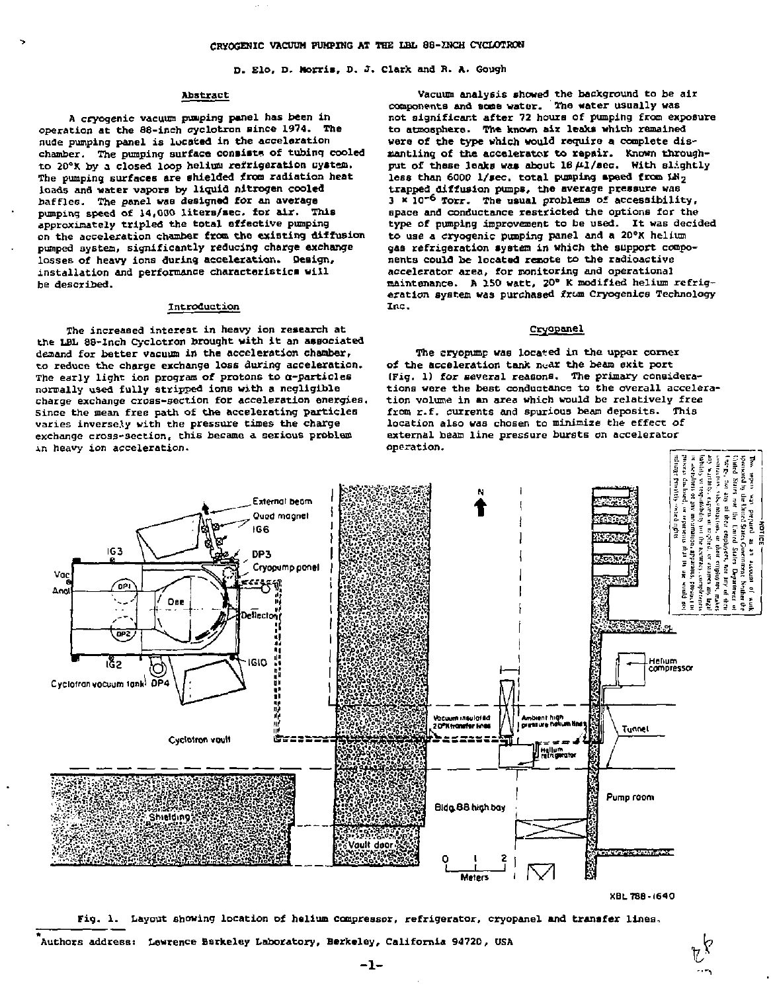D. Elo, D. Morris, D. J. Clark and R. A. Gough

#### Abstract

A cryogenic vacuum pimping panel has been in operation at the 88-inch cyclotron since 1974. The nude pumping panel is located in the acceleration chamber. The pumping surface consists of tubing cooled to 20°X by a closed loop helium refrigeration uystem. The pumping surfaces are shielded from radiation heat loads and water vapors by liquid nitrogen cooled baffles. The panel was designed for an average pumping speed of 14,000 liters/sec. for air. This approximately tripled the total effective pumping on the acceleration chamber from the existing diffusion pumped system, significantly reducing charge exchange losses of heavy ions during acceleration. Design, installation and performance characteristics will be described.

### Introduction

The increased interest in heavy ion research at the LBL 88-lnch Cyclotron brought with it an associated demand for better vacuum in the acceleration chamber, to reduce the charge exchange loss during acceleration. The early light ion program of protons to a-particles normally used fully stripped ions with a negligible charge exchange cross-section for acceleration energies. Since the mean free path of the accelerating particles varies inversely with the pressure times the charge exchange cross-section, this became a serious problem in heavy ion acceleration.

Vacuum analysis showed the background to be air components and sone water. ' The water usually was not significant after 72 hours of pumping from exposure to atmosphere. The known aiz leaks which remained were of the type which would require a complete dismantling of the accelerator to repair. Known throughput of these leaks was about 18  $\mu$ 1/sec. With slightly less than 6000 l/sec. total pumping speed from LH<sub>2</sub> trapped diffusion pumps, the average pressure was 3 x 10<sup>-6</sup> Torr. The usual problems of accessibility, space and conductance restricted the options for the type of pumping improvement to be used. It was decided to use a cryogenic pumping panel and a 20°K helium gas refrigeration system in which the support components could be located remote to the radioactive accelerator area, for monitoring and operational maintenance. A ISO watt, 20° K modified helium refrigeration system was purchased from Cryogenics Technology Inc.

## Cryopanel

The cryopump was located in the upper corner of the acceleration tank near the beam exit port (Fig. 1) for several reasons. The primary considerations were the best conductance to the overall acceleration volume in an area which would be relatively free from r.f. currents and spurious beam deposits. This location also was chosen to minimize the effect of external beam line pressure bursts on accelerator operation.



Fig. 1. Layout showing location of helium compressor, refrigerator, cryopanel and transfer lines,

Authors address: Lawrence Berkeley Laboratory, Berkeley, California 94720, USA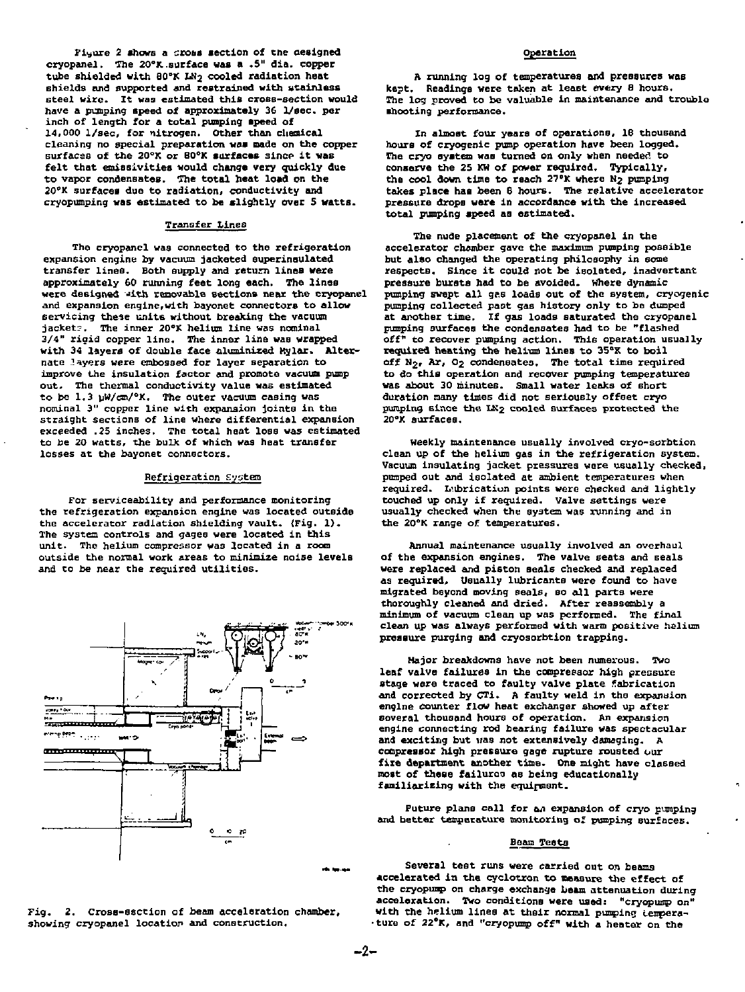Fiyure 2 shows a cross section of the aesigned cryopanel. The 20°K.surface was a .5" dia. copper tube shielded with 80°K LN<sub>2</sub> cooled radiation heat shields and supported and restrained with stainless steel wire. It was estimated this cross-section would have a punping speed of approximately 36 1/eec. per inch of length for a total pumping speed of 14,000 l/sec, for nitrogen. Other than chemical<br>cleaning no special preparation was made on the copper surfaces of the 20°K or 80°K surfaces since it was felt that emissivities would change very quickly due to vapor condensates. The total heat load on the 20°K surfaces due to radiation, conductivity and cryopumping was estimated to be slightly over 5 watts.

# Transfer Lines

The cryopanel was connected to the refrigeration expansion engine by vacuum jacketed Guperinsulated transfer lines. Both supply and return lines were approximately 60 running feet long each. The lines were designed with removable sections near the cryopanel and expansion engine,with bayonet connectors to allow servicing these units without breaking the vacuum jacket?. The inner 20°K helium line was nominal 3/4" rigid copper line. The inner line was wrapped with 34 layers of double face oluminized Mylar. Alternate layers were embossed for layer separation to improve the insulation factor and promote vacuum pump out. The thermal conductivity value was estimated to be 1.3 yw/em/°K. The outer vacuum casing was nominal 3" copper line with expansion joints in the straight sections of line where differential expansion exceeded .25 inches. The total heat loss was estimated to be 20 watts, the bulk of which was heat transfer losses at the bayonet connectors.

## Refrigeration System

For serviceability and performance monitoring the refrigeration expansion engine was located outside the accelerator radiation shielding vault. {Fig. 1). The system controls and gages were located in this unit. The helium compressor was located in a room outside the normal work areas to minimize noise levels and to be near the required utilities.





### Operation

A running log of temperatures and pressures was kept. Readings were taken at least every 8 hours. The log proved to be valuable in maintenance and trouble •hooting performance.

In almost four years of operations, 18 thousand hours of cryogenic pump operation have been logged. The cryo system was turned on only when needed to conserve the 25 KW of power required. Typically, the cool down time to reach 27°K where N<sub>2</sub> pumping takes place has been 8 hours. The relative accelerator pressure drops were in accordance with the increased total pumping speed as estimated.

The nude placement of the cryopanel in the accelerator chamber gave the maximum pumping possible but also changed the operating philosophy in some respectB. since it could not be isolated, inadvertant pressure bursts had to be avoided. Where dynamic pumping swept all gas loads out of the system, cryogenic pumping collected past gas history only to be dumped at another time. If gas loads saturated the cryopanel pumping surfaces the condensates had to be "flashed off" to recover pumping action. This operation usually required heating the helium lines to 35°K to boil off N<sub>2</sub>, Ar, O<sub>2</sub> condensates. The total time required to do this operation and recover pumping temperatures was about 30 minutes. Small water leaks of short duration many times did not seriously offset cryo pumping since the LK2 cooled surfaces protected the 20°K surfaces.

weekly maintenance usually involved cryo-scrbtion clean up of the helium gas in the refrigeration system. Vacuum insulating jacket pressures were usually checked, pumped out and isolated at ambient temperatures when required. L'ubrication points were checked and lightly touched up only if required. Valve settings were usually checked when the system was running and in the 20°K range of temperatures.

Annual maintenance usually involved an overhaul of the expansion engines. The valve seats and seals were replaced and piston seals checked and replaced as required. Usually lubricants were found to have migrated beyond moving seals, so all parts were thoroughly cleaned and dried. After reassembly a minimum of vacuum clean up was performed. The final clean up was always performed with warm positive helium pressure purging and cryosorbtion trapping.

Major breakdowns have not been numerous. Two leaf valve failures in the compressor high pressure stage were traced to faulty valve plate fabrication and corrected by CTi. A faulty weld in the expansion engine counter flow heat exchanger showed up after several thousand hours of operation. An expansion engine connecting rod bearing failure was spectacular and exciting but was not extensively damaging. A compressor high pressure gage rupture rousted our fixe department another time. One might have classed most of these failures as being educationally familiarizing with the equipment.

Future plans call for an expansion of cryo pumping and better temperature monitoring of pumping surfaces.

#### Beam Teats

Several test runs were carried out on beams accelerated in the cyclotron to measure the effect of the cryopump on charge exchange beam attenuation during acceleration. Two conditions were used: "cryopump on" with the helium lines at their normal pumping temperature of 22°K, and "cryopump off" with a heater on the